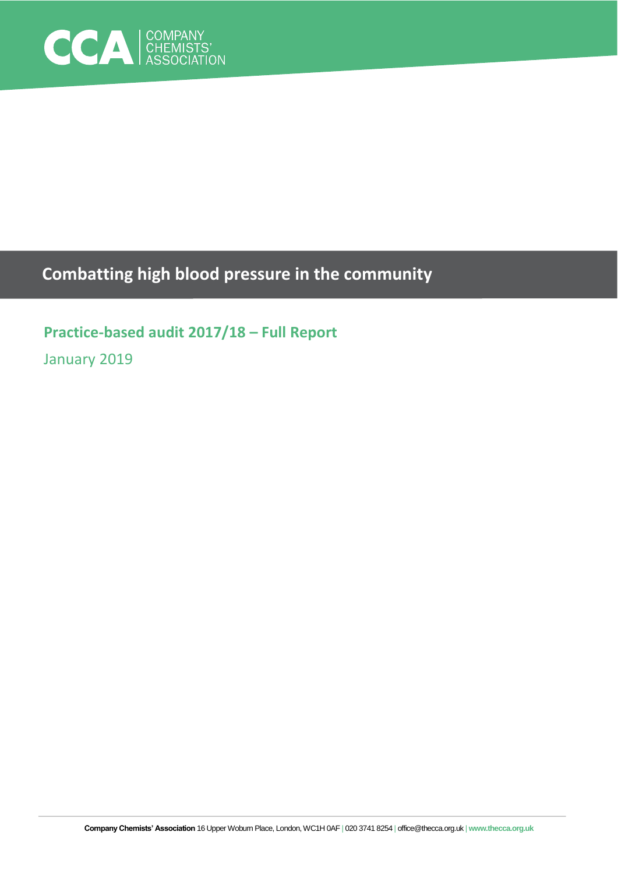

# **Combatting high blood pressure in the community**

# **Practice-based audit 2017/18 – Full Report**

January 2019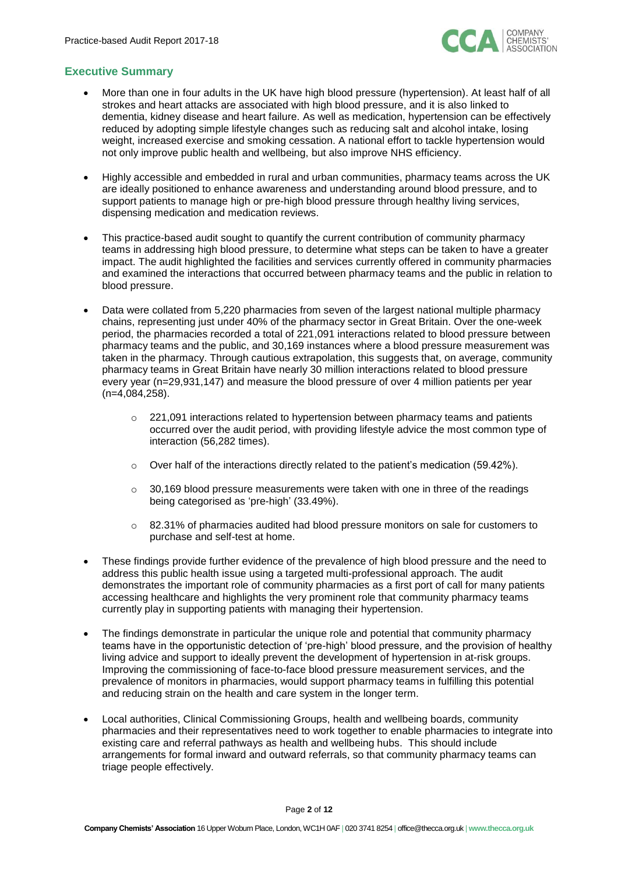

# **Executive Summary**

- More than one in four adults in the UK have high blood pressure (hypertension). At least half of all strokes and heart attacks are associated with high blood pressure, and it is also linked to dementia, kidney disease and heart failure. As well as medication, hypertension can be effectively reduced by adopting simple lifestyle changes such as reducing salt and alcohol intake, losing weight, increased exercise and smoking cessation. A national effort to tackle hypertension would not only improve public health and wellbeing, but also improve NHS efficiency.
- Highly accessible and embedded in rural and urban communities, pharmacy teams across the UK are ideally positioned to enhance awareness and understanding around blood pressure, and to support patients to manage high or pre-high blood pressure through healthy living services, dispensing medication and medication reviews.
- This practice-based audit sought to quantify the current contribution of community pharmacy teams in addressing high blood pressure, to determine what steps can be taken to have a greater impact. The audit highlighted the facilities and services currently offered in community pharmacies and examined the interactions that occurred between pharmacy teams and the public in relation to blood pressure.
- Data were collated from 5,220 pharmacies from seven of the largest national multiple pharmacy chains, representing just under 40% of the pharmacy sector in Great Britain. Over the one-week period, the pharmacies recorded a total of 221,091 interactions related to blood pressure between pharmacy teams and the public, and 30,169 instances where a blood pressure measurement was taken in the pharmacy. Through cautious extrapolation, this suggests that, on average, community pharmacy teams in Great Britain have nearly 30 million interactions related to blood pressure every year (n=29,931,147) and measure the blood pressure of over 4 million patients per year (n=4,084,258).
	- $\circ$  221,091 interactions related to hypertension between pharmacy teams and patients occurred over the audit period, with providing lifestyle advice the most common type of interaction (56,282 times).
	- $\circ$  Over half of the interactions directly related to the patient's medication (59.42%).
	- $\circ$  30,169 blood pressure measurements were taken with one in three of the readings being categorised as 'pre-high' (33.49%).
	- $\circ$  82.31% of pharmacies audited had blood pressure monitors on sale for customers to purchase and self-test at home.
- These findings provide further evidence of the prevalence of high blood pressure and the need to address this public health issue using a targeted multi-professional approach. The audit demonstrates the important role of community pharmacies as a first port of call for many patients accessing healthcare and highlights the very prominent role that community pharmacy teams currently play in supporting patients with managing their hypertension.
- The findings demonstrate in particular the unique role and potential that community pharmacy teams have in the opportunistic detection of 'pre-high' blood pressure, and the provision of healthy living advice and support to ideally prevent the development of hypertension in at-risk groups. Improving the commissioning of face-to-face blood pressure measurement services, and the prevalence of monitors in pharmacies, would support pharmacy teams in fulfilling this potential and reducing strain on the health and care system in the longer term.
- Local authorities, Clinical Commissioning Groups, health and wellbeing boards, community pharmacies and their representatives need to work together to enable pharmacies to integrate into existing care and referral pathways as health and wellbeing hubs. This should include arrangements for formal inward and outward referrals, so that community pharmacy teams can triage people effectively.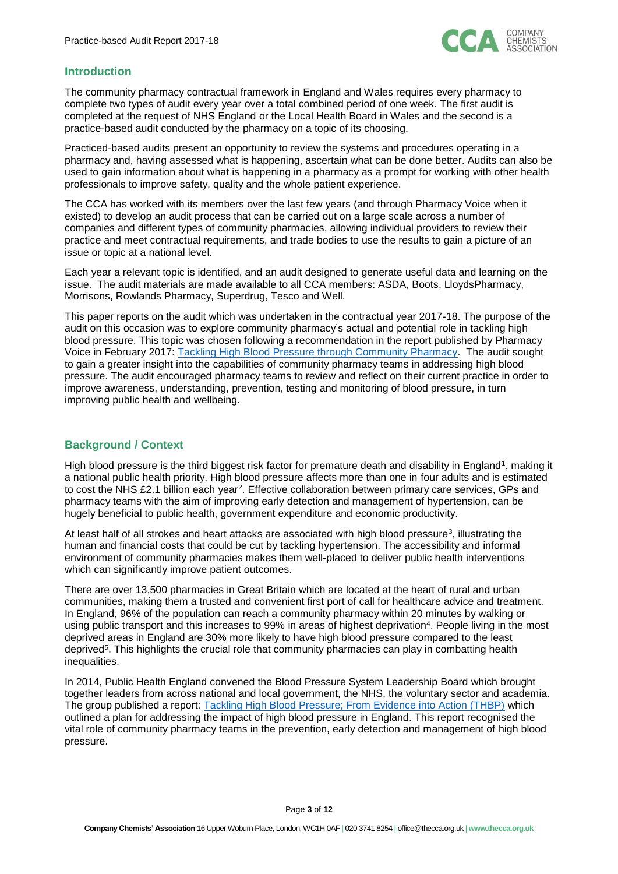

## **Introduction**

The community pharmacy contractual framework in England and Wales requires every pharmacy to complete two types of audit every year over a total combined period of one week. The first audit is completed at the request of NHS England or the Local Health Board in Wales and the second is a practice-based audit conducted by the pharmacy on a topic of its choosing.

Practiced-based audits present an opportunity to review the systems and procedures operating in a pharmacy and, having assessed what is happening, ascertain what can be done better. Audits can also be used to gain information about what is happening in a pharmacy as a prompt for working with other health professionals to improve safety, quality and the whole patient experience.

The CCA has worked with its members over the last few years (and through Pharmacy Voice when it existed) to develop an audit process that can be carried out on a large scale across a number of companies and different types of community pharmacies, allowing individual providers to review their practice and meet contractual requirements, and trade bodies to use the results to gain a picture of an issue or topic at a national level.

Each year a relevant topic is identified, and an audit designed to generate useful data and learning on the issue. The audit materials are made available to all CCA members: ASDA, Boots, LloydsPharmacy, Morrisons, Rowlands Pharmacy, Superdrug, Tesco and Well.

This paper reports on the audit which was undertaken in the contractual year 2017-18. The purpose of the audit on this occasion was to explore community pharmacy's actual and potential role in tackling high blood pressure. This topic was chosen following a recommendation in the report published by Pharmacy Voice in February 2017: [Tackling High Blood Pressure through Community Pharmacy.](https://assets.publishing.service.gov.uk/government/uploads/system/uploads/attachment_data/file/743124/PV_Blood_Pressure_Report.pdf) The audit sought to gain a greater insight into the capabilities of community pharmacy teams in addressing high blood pressure. The audit encouraged pharmacy teams to review and reflect on their current practice in order to improve awareness, understanding, prevention, testing and monitoring of blood pressure, in turn improving public health and wellbeing.

# **Background / Context**

High blood pressure is the third biggest risk factor for premature death and disability in England<sup>1</sup>, making it a national public health priority. High blood pressure affects more than one in four adults and is estimated to cost the NHS £2.1 billion each year<sup>2</sup>. Effective collaboration between primary care services, GPs and pharmacy teams with the aim of improving early detection and management of hypertension, can be hugely beneficial to public health, government expenditure and economic productivity.

At least half of all strokes and heart attacks are associated with high blood pressure<sup>3</sup>, illustrating the human and financial costs that could be cut by tackling hypertension. The accessibility and informal environment of community pharmacies makes them well-placed to deliver public health interventions which can significantly improve patient outcomes.

There are over 13,500 pharmacies in Great Britain which are located at the heart of rural and urban communities, making them a trusted and convenient first port of call for healthcare advice and treatment. In England, 96% of the population can reach a community pharmacy within 20 minutes by walking or using public transport and this increases to 99% in areas of highest deprivation<sup>4</sup>. People living in the most deprived areas in England are 30% more likely to have high blood pressure compared to the least deprived<sup>5</sup>. This highlights the crucial role that community pharmacies can play in combatting health inequalities.

In 2014, Public Health England convened the Blood Pressure System Leadership Board which brought together leaders from across national and local government, the NHS, the voluntary sector and academia. The group published a report: [Tackling High Blood Pressure; From Evidence into Action \(THBP\)](https://assets.publishing.service.gov.uk/government/uploads/system/uploads/attachment_data/file/375985/20141018_Tackling_high_blood_pressure_-_FINAL_INCL_LINK_CHANGES.pdf) which outlined a plan for addressing the impact of high blood pressure in England. This report recognised the vital role of community pharmacy teams in the prevention, early detection and management of high blood pressure.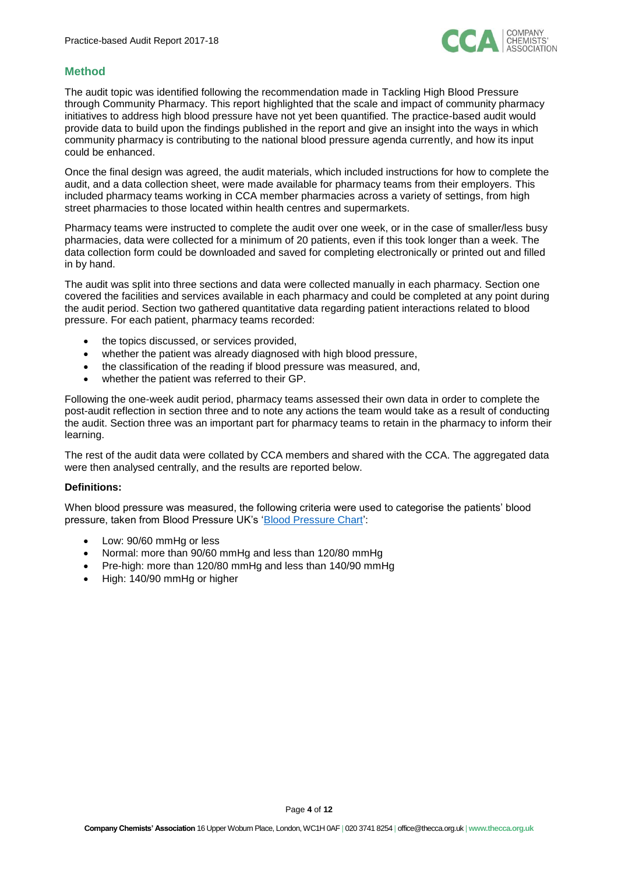

## **Method**

The audit topic was identified following the recommendation made in [Tackling High Blood Pressure](http://pharmacyvoice.com/wp-content/uploads/2017/02/Blood-Pressure-Report-1.pdf)  [through Community Pharmacy.](http://pharmacyvoice.com/wp-content/uploads/2017/02/Blood-Pressure-Report-1.pdf) This report highlighted that the scale and impact of community pharmacy initiatives to address high blood pressure have not yet been quantified. The practice-based audit would provide data to build upon the findings published in the report and give an insight into the ways in which community pharmacy is contributing to the national blood pressure agenda currently, and how its input could be enhanced.

Once the final design was agreed, the audit materials, which included instructions for how to complete the audit, and a data collection sheet, were made available for pharmacy teams from their employers. This included pharmacy teams working in CCA member pharmacies across a variety of settings, from high street pharmacies to those located within health centres and supermarkets.

Pharmacy teams were instructed to complete the audit over one week, or in the case of smaller/less busy pharmacies, data were collected for a minimum of 20 patients, even if this took longer than a week. The data collection form could be downloaded and saved for completing electronically or printed out and filled in by hand.

The audit was split into three sections and data were collected manually in each pharmacy. Section one covered the facilities and services available in each pharmacy and could be completed at any point during the audit period. Section two gathered quantitative data regarding patient interactions related to blood pressure. For each patient, pharmacy teams recorded:

- the topics discussed, or services provided,
- whether the patient was already diagnosed with high blood pressure,
- the classification of the reading if blood pressure was measured, and,
- whether the patient was referred to their GP.

Following the one-week audit period, pharmacy teams assessed their own data in order to complete the post-audit reflection in section three and to note any actions the team would take as a result of conducting the audit. Section three was an important part for pharmacy teams to retain in the pharmacy to inform their learning.

The rest of the audit data were collated by CCA members and shared with the CCA. The aggregated data were then analysed centrally, and the results are reported below.

#### **Definitions:**

When blood pressure was measured, the following criteria were used to categorise the patients' blood pressure, taken from Blood Pressure UK's ['Blood Pressure Chart'](http://www.bloodpressureuk.org/BloodPressureandyou/Thebasics/Bloodpressurechart):

- Low: 90/60 mmHg or less
- Normal: more than 90/60 mmHg and less than 120/80 mmHg
- Pre-high: more than 120/80 mmHg and less than 140/90 mmHg
- High: 140/90 mmHg or higher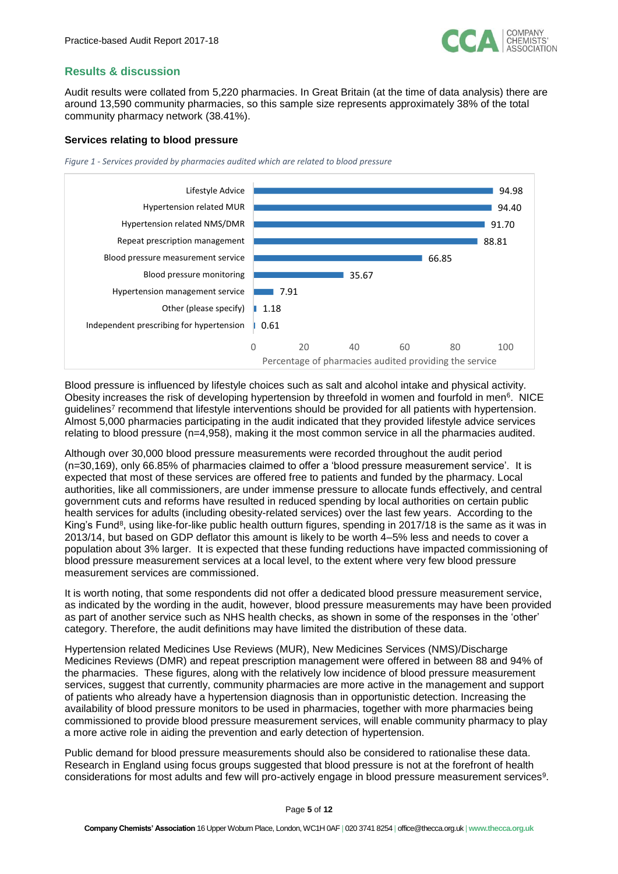

## **Results & discussion**

Audit results were collated from 5,220 pharmacies. In Great Britain (at the time of data analysis) there are around 13,590 community pharmacies, so this sample size represents approximately 38% of the total community pharmacy network (38.41%).

#### **Services relating to blood pressure**

*Figure 1 - Services provided by pharmacies audited which are related to blood pressure*



Blood pressure is influenced by lifestyle choices such as salt and alcohol intake and physical activity. Obesity increases the risk of developing hypertension by threefold in women and fourfold in men<sup>6</sup>. NICE guidelines<sup>7</sup> recommend that lifestyle interventions should be provided for all patients with hypertension. Almost 5,000 pharmacies participating in the audit indicated that they provided lifestyle advice services relating to blood pressure (n=4,958), making it the most common service in all the pharmacies audited.

Although over 30,000 blood pressure measurements were recorded throughout the audit period (n=30,169), only 66.85% of pharmacies claimed to offer a 'blood pressure measurement service'. It is expected that most of these services are offered free to patients and funded by the pharmacy. Local authorities, like all commissioners, are under immense pressure to allocate funds effectively, and central government cuts and reforms have resulted in reduced spending by local authorities on certain public health services for adults (including obesity-related services) over the last few years. According to the King's Fund<sup>8</sup>, using like-for-like public health outturn figures, spending in 2017/18 is the same as it was in 2013/14, but based on GDP deflator this amount is likely to be worth 4–5% less and needs to cover a population about 3% larger. It is expected that these funding reductions have impacted commissioning of blood pressure measurement services at a local level, to the extent where very few blood pressure measurement services are commissioned.

It is worth noting, that some respondents did not offer a dedicated blood pressure measurement service, as indicated by the wording in the audit, however, blood pressure measurements may have been provided as part of another service such as NHS health checks, as shown in some of the responses in the 'other' category. Therefore, the audit definitions may have limited the distribution of these data.

Hypertension related Medicines Use Reviews (MUR), New Medicines Services (NMS)/Discharge Medicines Reviews (DMR) and repeat prescription management were offered in between 88 and 94% of the pharmacies. These figures, along with the relatively low incidence of blood pressure measurement services, suggest that currently, community pharmacies are more active in the management and support of patients who already have a hypertension diagnosis than in opportunistic detection. Increasing the availability of blood pressure monitors to be used in pharmacies, together with more pharmacies being commissioned to provide blood pressure measurement services, will enable community pharmacy to play a more active role in aiding the prevention and early detection of hypertension.

Public demand for blood pressure measurements should also be considered to rationalise these data. Research in England using focus groups suggested that blood pressure is not at the forefront of health considerations for most adults and few will pro-actively engage in blood pressure measurement services<sup>9</sup> .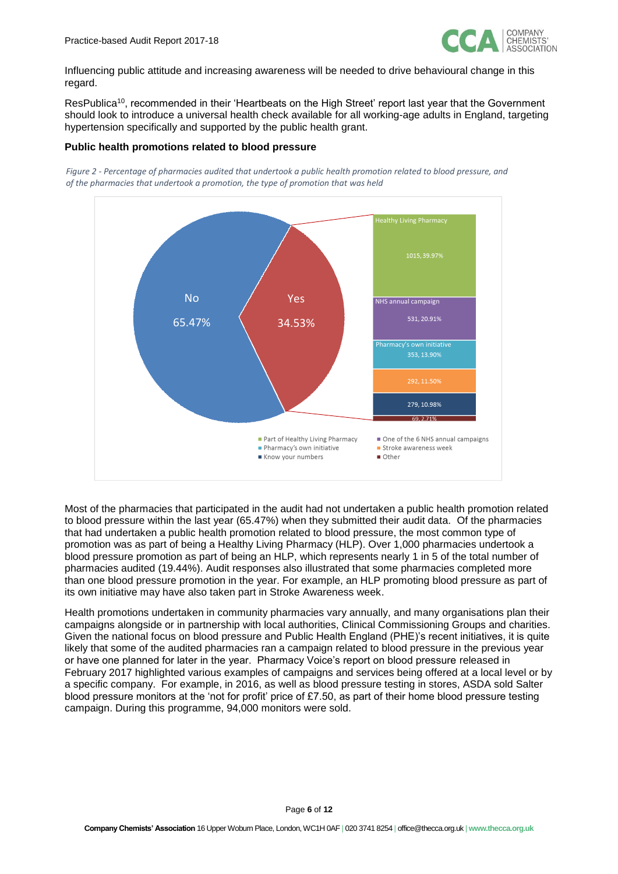

Influencing public attitude and increasing awareness will be needed to drive behavioural change in this regard.

ResPublica<sup>10</sup>, recommended in their 'Heartbeats on the High Street' report last year that the Government should look to introduce a universal health check available for all working-age adults in England, targeting hypertension specifically and supported by the public health grant.

#### **Public health promotions related to blood pressure**

*Figure 2 - Percentage of pharmacies audited that undertook a public health promotion related to blood pressure, and of the pharmacies that undertook a promotion, the type of promotion that was held*



Most of the pharmacies that participated in the audit had not undertaken a public health promotion related to blood pressure within the last year (65.47%) when they submitted their audit data. Of the pharmacies that had undertaken a public health promotion related to blood pressure, the most common type of promotion was as part of being a Healthy Living Pharmacy (HLP). Over 1,000 pharmacies undertook a blood pressure promotion as part of being an HLP, which represents nearly 1 in 5 of the total number of pharmacies audited (19.44%). Audit responses also illustrated that some pharmacies completed more than one blood pressure promotion in the year. For example, an HLP promoting blood pressure as part of its own initiative may have also taken part in Stroke Awareness week.

Health promotions undertaken in community pharmacies vary annually, and many organisations plan their campaigns alongside or in partnership with local authorities, Clinical Commissioning Groups and charities. Given the national focus on blood pressure and Public Health England (PHE)'s recent initiatives, it is quite likely that some of the audited pharmacies ran a campaign related to blood pressure in the previous year or have one planned for later in the year. Pharmacy Voice's report on blood pressure released in February 2017 highlighted various examples of campaigns and services being offered at a local level or by a specific company. For example, in 2016, as well as blood pressure testing in stores, ASDA sold Salter blood pressure monitors at the 'not for profit' price of £7.50, as part of their home blood pressure testing campaign. During this programme, 94,000 monitors were sold.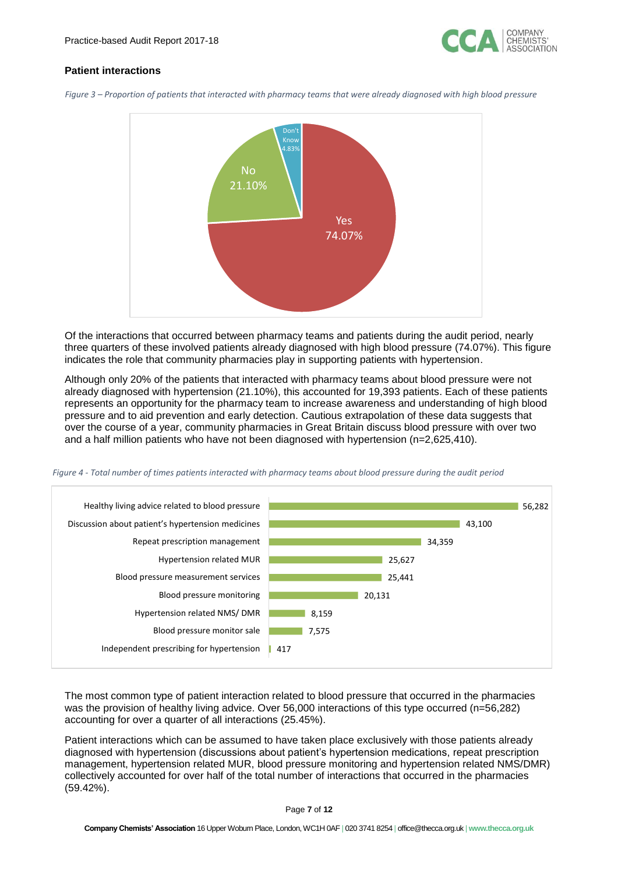

## **Patient interactions**

*Figure 3 – Proportion of patients that interacted with pharmacy teams that were already diagnosed with high blood pressure*



Of the interactions that occurred between pharmacy teams and patients during the audit period, nearly three quarters of these involved patients already diagnosed with high blood pressure (74.07%). This figure indicates the role that community pharmacies play in supporting patients with hypertension.

Although only 20% of the patients that interacted with pharmacy teams about blood pressure were not already diagnosed with hypertension (21.10%), this accounted for 19,393 patients. Each of these patients represents an opportunity for the pharmacy team to increase awareness and understanding of high blood pressure and to aid prevention and early detection. Cautious extrapolation of these data suggests that over the course of a year, community pharmacies in Great Britain discuss blood pressure with over two and a half million patients who have not been diagnosed with hypertension (n=2,625,410).

*Figure 4 - Total number of times patients interacted with pharmacy teams about blood pressure during the audit period*



The most common type of patient interaction related to blood pressure that occurred in the pharmacies was the provision of healthy living advice. Over 56,000 interactions of this type occurred (n=56,282) accounting for over a quarter of all interactions (25.45%).

Patient interactions which can be assumed to have taken place exclusively with those patients already diagnosed with hypertension (discussions about patient's hypertension medications, repeat prescription management, hypertension related MUR, blood pressure monitoring and hypertension related NMS/DMR) collectively accounted for over half of the total number of interactions that occurred in the pharmacies (59.42%).

Page **7** of **12**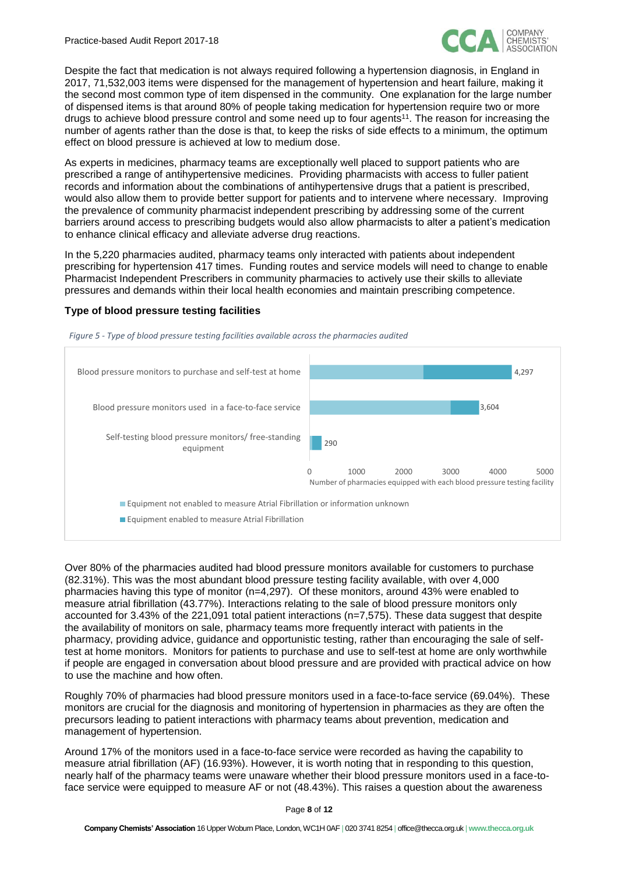

Despite the fact that medication is not always required following a hypertension diagnosis, in England in 2017, 71,532,003 items were dispensed for the management of hypertension and heart failure, making it the second most common type of item dispensed in the community. One explanation for the large number of dispensed items is that around 80% of people taking medication for hypertension require two or more drugs to achieve blood pressure control and some need up to four agents<sup>11</sup>. The reason for increasing the number of agents rather than the dose is that, to keep the risks of side effects to a minimum, the optimum effect on blood pressure is achieved at low to medium dose.

As experts in medicines, pharmacy teams are exceptionally well placed to support patients who are prescribed a range of antihypertensive medicines. Providing pharmacists with access to fuller patient records and information about the combinations of antihypertensive drugs that a patient is prescribed, would also allow them to provide better support for patients and to intervene where necessary. Improving the prevalence of community pharmacist independent prescribing by addressing some of the current barriers around access to prescribing budgets would also allow pharmacists to alter a patient's medication to enhance clinical efficacy and alleviate adverse drug reactions.

In the 5,220 pharmacies audited, pharmacy teams only interacted with patients about independent prescribing for hypertension 417 times. Funding routes and service models will need to change to enable Pharmacist Independent Prescribers in community pharmacies to actively use their skills to alleviate pressures and demands within their local health economies and maintain prescribing competence.

#### **Type of blood pressure testing facilities**

*Figure 5 - Type of blood pressure testing facilities available across the pharmacies audited*



Over 80% of the pharmacies audited had blood pressure monitors available for customers to purchase (82.31%). This was the most abundant blood pressure testing facility available, with over 4,000 pharmacies having this type of monitor (n=4,297). Of these monitors, around 43% were enabled to measure atrial fibrillation (43.77%). Interactions relating to the sale of blood pressure monitors only accounted for 3.43% of the 221,091 total patient interactions (n=7,575). These data suggest that despite the availability of monitors on sale, pharmacy teams more frequently interact with patients in the

pharmacy, providing advice, guidance and opportunistic testing, rather than encouraging the sale of selftest at home monitors. Monitors for patients to purchase and use to self-test at home are only worthwhile if people are engaged in conversation about blood pressure and are provided with practical advice on how to use the machine and how often.

Roughly 70% of pharmacies had blood pressure monitors used in a face-to-face service (69.04%). These monitors are crucial for the diagnosis and monitoring of hypertension in pharmacies as they are often the precursors leading to patient interactions with pharmacy teams about prevention, medication and management of hypertension.

Around 17% of the monitors used in a face-to-face service were recorded as having the capability to measure atrial fibrillation (AF) (16.93%). However, it is worth noting that in responding to this question, nearly half of the pharmacy teams were unaware whether their blood pressure monitors used in a face-toface service were equipped to measure AF or not (48.43%). This raises a question about the awareness

Page **8** of **12**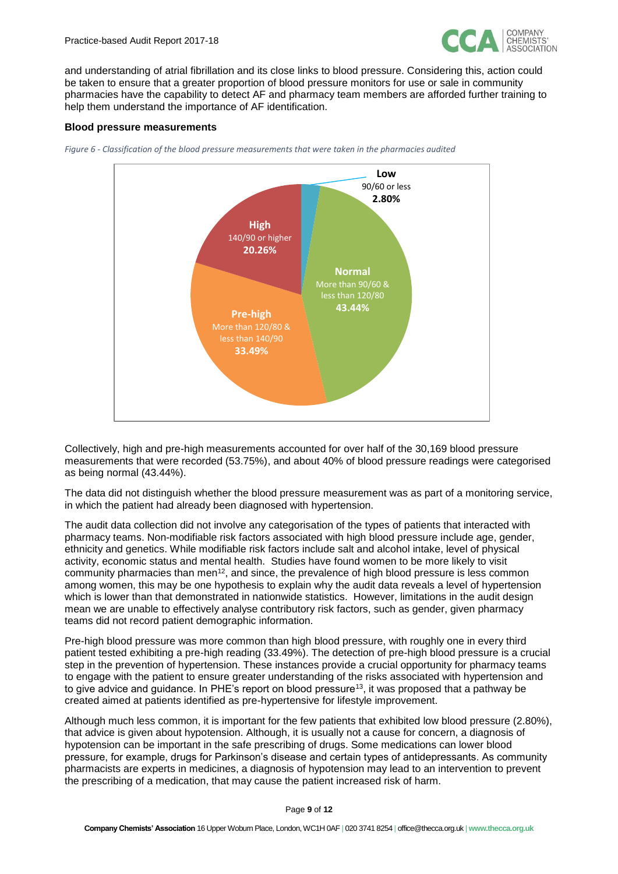

and understanding of atrial fibrillation and its close links to blood pressure. Considering this, action could be taken to ensure that a greater proportion of blood pressure monitors for use or sale in community pharmacies have the capability to detect AF and pharmacy team members are afforded further training to help them understand the importance of AF identification.

#### **Blood pressure measurements**





Collectively, high and pre-high measurements accounted for over half of the 30,169 blood pressure measurements that were recorded (53.75%), and about 40% of blood pressure readings were categorised as being normal (43.44%).

The data did not distinguish whether the blood pressure measurement was as part of a monitoring service, in which the patient had already been diagnosed with hypertension.

The audit data collection did not involve any categorisation of the types of patients that interacted with pharmacy teams. Non-modifiable risk factors associated with high blood pressure include age, gender, ethnicity and genetics. While modifiable risk factors include salt and alcohol intake, level of physical activity, economic status and mental health. Studies have found women to be more likely to visit community pharmacies than men<sup>12</sup>, and since, the prevalence of high blood pressure is less common among women, this may be one hypothesis to explain why the audit data reveals a level of hypertension which is lower than that demonstrated in nationwide statistics. However, limitations in the audit design mean we are unable to effectively analyse contributory risk factors, such as gender, given pharmacy teams did not record patient demographic information.

Pre-high blood pressure was more common than high blood pressure, with roughly one in every third patient tested exhibiting a pre-high reading (33.49%). The detection of pre-high blood pressure is a crucial step in the prevention of hypertension. These instances provide a crucial opportunity for pharmacy teams to engage with the patient to ensure greater understanding of the risks associated with hypertension and to give advice and guidance. In PHE's report on blood pressure<sup>13</sup>, it was proposed that a pathway be created aimed at patients identified as pre-hypertensive for lifestyle improvement.

Although much less common, it is important for the few patients that exhibited low blood pressure (2.80%), that advice is given about hypotension. Although, it is usually not a cause for concern, a diagnosis of hypotension can be important in the safe prescribing of drugs. Some medications can lower blood pressure, for example, drugs for Parkinson's disease and certain types of antidepressants. As community pharmacists are experts in medicines, a diagnosis of hypotension may lead to an intervention to prevent the prescribing of a medication, that may cause the patient increased risk of harm.

Page **9** of **12**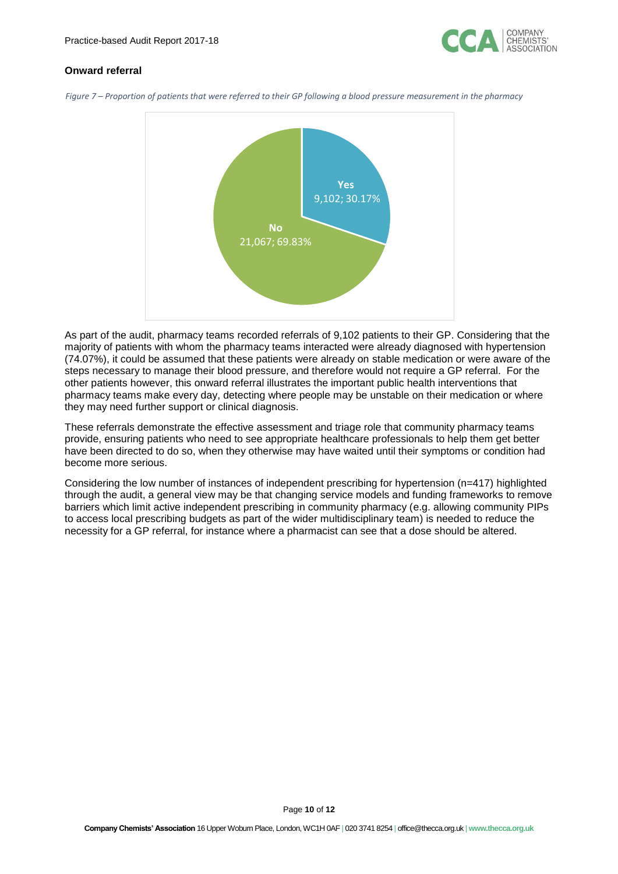

## **Onward referral**

*Figure 7 – Proportion of patients that were referred to their GP following a blood pressure measurement in the pharmacy*



As part of the audit, pharmacy teams recorded referrals of 9,102 patients to their GP. Considering that the majority of patients with whom the pharmacy teams interacted were already diagnosed with hypertension (74.07%), it could be assumed that these patients were already on stable medication or were aware of the steps necessary to manage their blood pressure, and therefore would not require a GP referral. For the other patients however, this onward referral illustrates the important public health interventions that pharmacy teams make every day, detecting where people may be unstable on their medication or where they may need further support or clinical diagnosis.

These referrals demonstrate the effective assessment and triage role that community pharmacy teams provide, ensuring patients who need to see appropriate healthcare professionals to help them get better have been directed to do so, when they otherwise may have waited until their symptoms or condition had become more serious.

Considering the low number of instances of independent prescribing for hypertension (n=417) highlighted through the audit, a general view may be that changing service models and funding frameworks to remove barriers which limit active independent prescribing in community pharmacy (e.g. allowing community PIPs to access local prescribing budgets as part of the wider multidisciplinary team) is needed to reduce the necessity for a GP referral, for instance where a pharmacist can see that a dose should be altered.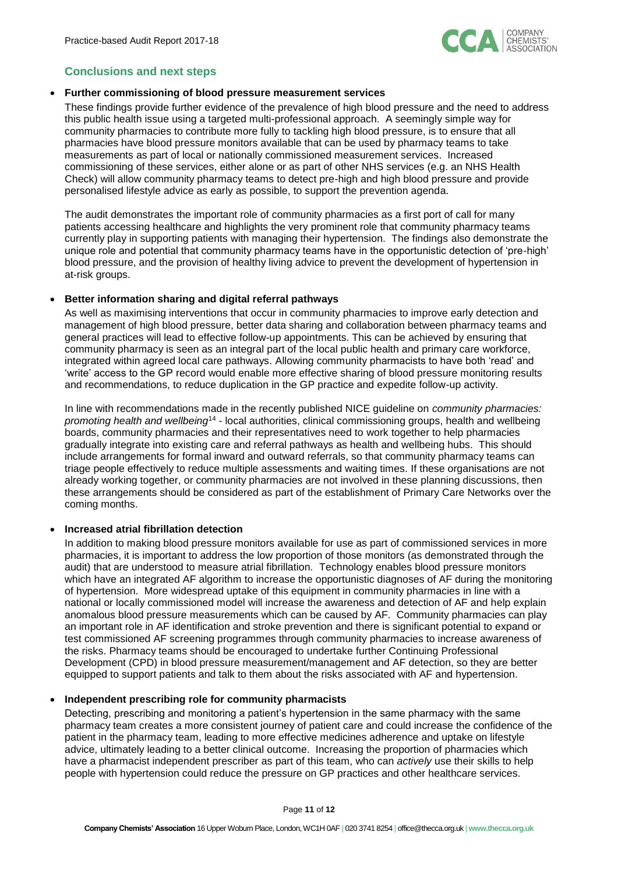

## **Conclusions and next steps**

#### • **Further commissioning of blood pressure measurement services**

These findings provide further evidence of the prevalence of high blood pressure and the need to address this public health issue using a targeted multi-professional approach. A seemingly simple way for community pharmacies to contribute more fully to tackling high blood pressure, is to ensure that all pharmacies have blood pressure monitors available that can be used by pharmacy teams to take measurements as part of local or nationally commissioned measurement services. Increased commissioning of these services, either alone or as part of other NHS services (e.g. an NHS Health Check) will allow community pharmacy teams to detect pre-high and high blood pressure and provide personalised lifestyle advice as early as possible, to support the prevention agenda.

The audit demonstrates the important role of community pharmacies as a first port of call for many patients accessing healthcare and highlights the very prominent role that community pharmacy teams currently play in supporting patients with managing their hypertension. The findings also demonstrate the unique role and potential that community pharmacy teams have in the opportunistic detection of 'pre-high' blood pressure, and the provision of healthy living advice to prevent the development of hypertension in at-risk groups.

#### • **Better information sharing and digital referral pathways**

As well as maximising interventions that occur in community pharmacies to improve early detection and management of high blood pressure, better data sharing and collaboration between pharmacy teams and general practices will lead to effective follow-up appointments. This can be achieved by ensuring that community pharmacy is seen as an integral part of the local public health and primary care workforce, integrated within agreed local care pathways. Allowing community pharmacists to have both 'read' and 'write' access to the GP record would enable more effective sharing of blood pressure monitoring results and recommendations, to reduce duplication in the GP practice and expedite follow-up activity.

In line with recommendations made in the recently published NICE guideline on *community pharmacies: promoting health and wellbeing*<sup>14</sup> - local authorities, clinical commissioning groups, health and wellbeing boards, community pharmacies and their representatives need to work together to help pharmacies gradually integrate into existing care and referral pathways as health and wellbeing hubs. This should include arrangements for formal inward and outward referrals, so that community pharmacy teams can triage people effectively to reduce multiple assessments and waiting times. If these organisations are not already working together, or community pharmacies are not involved in these planning discussions, then these arrangements should be considered as part of the establishment of Primary Care Networks over the coming months.

### • **Increased atrial fibrillation detection**

In addition to making blood pressure monitors available for use as part of commissioned services in more pharmacies, it is important to address the low proportion of those monitors (as demonstrated through the audit) that are understood to measure atrial fibrillation. Technology enables blood pressure monitors which have an integrated AF algorithm to increase the opportunistic diagnoses of AF during the monitoring of hypertension. More widespread uptake of this equipment in community pharmacies in line with a national or locally commissioned model will increase the awareness and detection of AF and help explain anomalous blood pressure measurements which can be caused by AF. Community pharmacies can play an important role in AF identification and stroke prevention and there is significant potential to expand or test commissioned AF screening programmes through community pharmacies to increase awareness of the risks. Pharmacy teams should be encouraged to undertake further Continuing Professional Development (CPD) in blood pressure measurement/management and AF detection, so they are better equipped to support patients and talk to them about the risks associated with AF and hypertension.

## • **Independent prescribing role for community pharmacists**

Detecting, prescribing and monitoring a patient's hypertension in the same pharmacy with the same pharmacy team creates a more consistent journey of patient care and could increase the confidence of the patient in the pharmacy team, leading to more effective medicines adherence and uptake on lifestyle advice, ultimately leading to a better clinical outcome. Increasing the proportion of pharmacies which have a pharmacist independent prescriber as part of this team, who can *actively* use their skills to help people with hypertension could reduce the pressure on GP practices and other healthcare services.